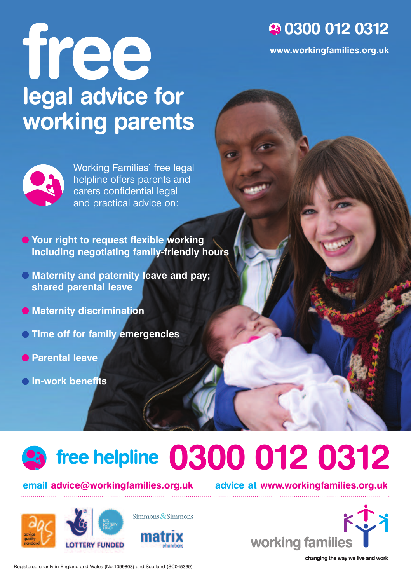#### **0300 012 0312**

**www.workingfamilies.org.uk**

# **free legal advice for working parents**



Working Families' free legal helpline offers parents and carers confidential legal and practical advice on:

**Your right to request flexible working including negotiating family-friendly hours**

- **Maternity and paternity leave and pay; shared parental leave**
- **Maternity discrimination**
- **Time off for family emergencies**
- **Parental leave**
- **In-work benefits**

## **free helpline 0300 012 0312**

#### **email advice@workingfamilies.org.uk advice at www.workingfamilies.org.uk**

**ERY FUNDED** 



Simmons  $&$  Simmons



Registered charity in England and Wales (No.1099808) and Scotland (SC045339)

changing the way we live and work